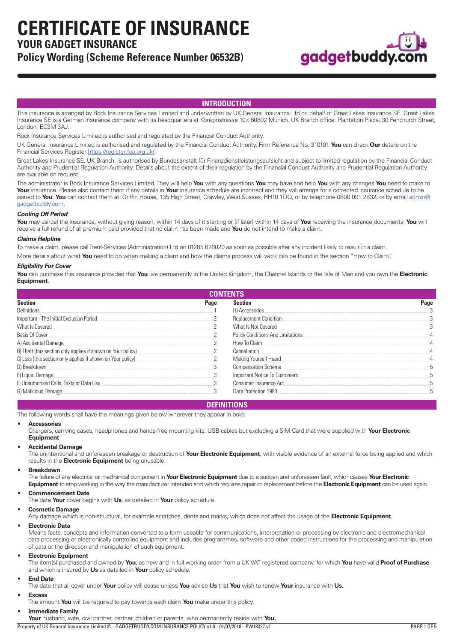**CERTIFICATE OF INSURANCE**

# **YOUR GADGET INSURANCE**

# **Policy Wording (Scheme Reference Number 06532B)**



# **INTRODUCTION**

This insurance is arranged by Rock Insurance Services Limited and underwritten by UK General Insurance Ltd on behalf of Great Lakes Insurance SE. Great Lakes Insurance SE is a German insurance company with its headquarters at Königinstrasse 107, 80802 Munich. UK Branch office: Plantation Place, 30 Fenchurch Street, London, EC3M 3AJ.

Rock Insurance Services Limited is authorised and regulated by the Financial Conduct Authority.

UK General Insurance Limited is authorised and regulated by the Financial Conduct Authority. Firm Reference No. 310101. **You** can check **Our** details on the Financial Services Register<https://register.fca.org.uk/>.

Great Lakes Insurance SE, UK Branch, is authorised by Bundesanstalt für Finanzdienstleistungsaufsicht and subject to limited regulation by the Financial Conduct Authority and Prudential Regulation Authority. Details about the extent of their regulation by the Financial Conduct Authority and Prudential Regulation Authority are available on request.

The administrator is Rock Insurance Services Limited. They will help **You** with any questions **You** may have and help **You** with any changes **You** need to make to **Your** insurance. Please also contact them if any details in **Your** insurance schedule are incorrect and they will arrange for a corrected insurance schedule to be issued to You. You can contact them at: Griffin House, 135 High Street, Crawley, West Sussex, RH10 1DQ, or by telephone 0800 091 2832, or by email [admin@](mailto:admin@gadgetbuddy.com) [gadgetbuddy.com](mailto:admin@gadgetbuddy.com).

## *Cooling Off Period*

**You** may cancel the insurance, without giving reason, within 14 days of it starting or (if later) within 14 days of **You** receiving the insurance documents. **You** will receive a full refund of all premium paid provided that no claim has been made and **You** do not intend to make a claim.

#### *Claims Helpline*

To make a claim, please call Trent-Services (Administration) Ltd on 01285 626020 as soon as possible after any incident likely to result in a claim.

More details about what **You** need to do when making a claim and how the claims process will work can be found in the section "How to Claim".

#### *Eligibility For Cover*

**You** can purchase this insurance provided that **You** live permanently in the United Kingdom, the Channel Islands or the Isle of Man and you own the **Electronic Equipment**.

| <b>CONTENTS</b>                                              |      |                                   |      |
|--------------------------------------------------------------|------|-----------------------------------|------|
| <b>Section</b>                                               | Page | <b>Section</b>                    | Page |
| Definitions                                                  |      | H) Accessories                    |      |
| Important - The Initial Exclusion Period                     |      | Replacement Condition.            |      |
| What Is Covered                                              |      | What Is Not Covered               |      |
| Basis Of Cover                                               |      | Policy Conditions And Limitations |      |
| A) Accidental Damage                                         |      | How To Claim.                     |      |
| B) Theft (this section only applies if shown on Your policy) |      | Cancellation                      |      |
| C) Loss (this section only applies if shown on Your policy)  |      | Making Yourself Heard             |      |
| D) Breakdown                                                 |      | Compensation Scheme               |      |
| E) Liquid Damage                                             |      | Important Notice To Customers     |      |
| F) Unauthorised Calls, Texts or Data Use                     |      | Consumer Insurance Act.           |      |
| G) Malicious Damage                                          |      | Data Protection 1998.             |      |

# **DEFINITIONS**

The following words shall have the meanings given below wherever they appear in bold:

### • **Accessories**

Chargers, carrying cases, headphones and hands-free mounting kits, USB cables but excluding a SIM Card that were supplied with **Your Electronic Equipment**

### • **Accidental Damage**

The unintentional and unforeseen breakage or destruction of **Your Electronic Equipment**, with visible evidence of an external force being applied and which results in the **Electronic Equipment** being unusable.

#### • **Breakdown**

The failure of any electrical or mechanical component in **Your Electronic Equipment** due to a sudden and unforeseen fault, which causes **Your Electronic** 

**Equipment** to stop working in the way the manufacturer intended and which requires repair or replacement before the **Electronic Equipment** can be used again.

## • **Commencement Date**

The date **Your** cover begins with **Us**, as detailed in **Your** policy schedule.

## • **Cosmetic Damage**

Any damage which is non-structural, for example scratches, dents and marks, which does not affect the usage of the **Electronic Equipment**.

#### • **Electronic Data**

Means facts, concepts and information converted to a form useable for communications, interpretation or processing by electronic and electromechanical data processing or electronically controlled equipment and includes programmes, software and other coded instructions for the processing and manipulation of data or the direction and manipulation of such equipment.

#### • **Electronic Equipment**

The item(s) purchased and owned by **You**, as new and in full working order from a UK VAT registered company, for which **You** have valid **Proof of Purchase**  and which is insured by **Us** as detailed in **Your** policy schedule.

#### • **End Date**

The date that all cover under **Your** policy will cease unless **You** advise **Us** that **You** wish to renew **Your** insurance with **Us.**

## • **Excess**

The amount **You** will be required to pay towards each claim **You** make under this policy.

#### • **Immediate Family**

**Your** husband, wife, civil partner, partner, children or parents, who permanently reside with **You.**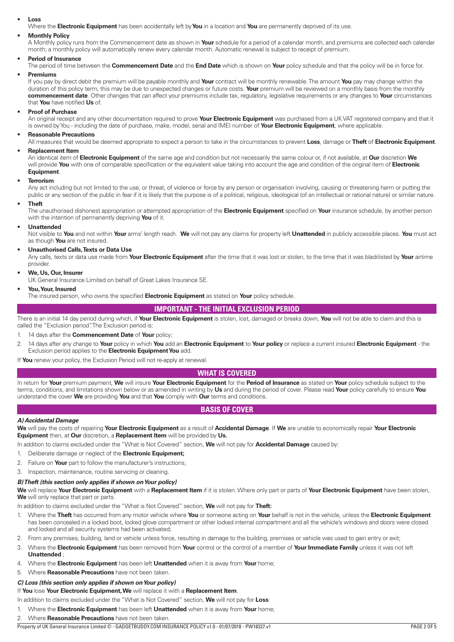#### <span id="page-1-0"></span>• **Loss**

Where the **Electronic Equipment** has been accidentally left by **You** in a location and **You** are permanently deprived of its use.

## • **Monthly Policy**

A Monthly policy runs from the Commencement date as shown in **Your** schedule for a period of a calendar month, and premiums are collected each calendar month; a monthly policy will automatically renew every calendar month. Automatic renewal is subject to receipt of premium.

#### • **Period of Insurance**

The period of time between the **Commencement Date** and the **End Date** which is shown on **Your** policy schedule and that the policy will be in force for.

## • **Premiums**

If you pay by direct debit the premium will be payable monthly and **Your** contract will be monthly renewable. The amount **You** pay may change within the duration of this policy term, this may be due to unexpected changes or future costs. **Your** premium will be reviewed on a monthly basis from the monthly **commencement date**. Other changes that can affect your premiums include tax, regulatory, legislative requirements or any changes to **Your** circumstances that **You** have notified **Us** of.

#### • **Proof of Purchase**

An original receipt and any other documentation required to prove **Your Electronic Equipment** was purchased from a UK VAT registered company and that it is owned by You - including the date of purchase, make, model, serial and IMEI number of **Your Electronic Equipment**, where applicable.

#### • **Reasonable Precautions**

All measures that would be deemed appropriate to expect a person to take in the circumstances to prevent **Loss**, damage or **Theft** of **Electronic Equipment**.

## • **Replacement Item**

An identical item of **Electronic Equipment** of the same age and condition but not necessarily the same colour or, if not available, at **Our** discretion **We** will provide **You** with one of comparable specification or the equivalent value taking into account the age and condition of the original item of **Electronic Equipment**.

#### • **Terrorism**

Any act including but not limited to the use, or threat, of violence or force by any person or organisation involving, causing or threatening harm or putting the public or any section of the public in fear if it is likely that the purpose is of a political, religious, ideological (of an intellectual or rational nature) or similar nature.

### • **Theft**

The unauthorised dishonest appropriation or attempted appropriation of the **Electronic Equipment** specified on **Your** insurance schedule, by another person with the intention of permanently depriving **You** of it.

#### • **Unattended**

Not visible to **You** and not within **Your** arms' length reach. **We** will not pay any claims for property left **Unattended** in publicly accessible places. **You** must act as though **You** are not insured.

#### • **Unauthorised Calls, Texts or Data Use**

Any calls, texts or data use made from **Your Electronic Equipment** after the time that it was lost or stolen, to the time that it was blacklisted by **Your** airtime provider.

## • **We, Us, Our, Insurer**

UK General Insurance Limited on behalf of Great Lakes Insurance SE.

## • **You, Your, Insured**

The insured person, who owns the specified **Electronic Equipment** as stated on **Your** policy schedule.

## **IMPORTANT - THE INITIAL EXCLUSION PERIOD**

There is an initial 14 day period during which, if **Your Electronic Equipment** is stolen, lost, damaged or breaks down, **You** will not be able to claim and this is called the "Exclusion period". The Exclusion period is:

- 1. 14 days after the **Commencement Date** of **Your** policy;
- 2. 14 days after any change to **Your** policy in which **You** add an **Electronic Equipment** to **Your policy** or replace a current insured **Electronic Equipment**  the Exclusion period applies to the **Electronic Equipment You** add.

If **You** renew your policy, the Exclusion Period will not re-apply at renewal.

#### **WHAT IS COVERED**

In return for **Your** premium payment, **We** will insure **Your Electronic Equipment** for the **Period of Insurance** as stated on **Your** policy schedule subject to the terms, conditions, and limitations shown below or as amended in writing by **Us** and during the period of cover. Please read **Your** policy carefully to ensure **You** understand the cover **We** are providing **You** and that **You** comply with **Our** terms and conditions.

## **BASIS OF COVER**

#### *A) Accidental Damage*

**We** will pay the costs of repairing **Your Electronic Equipment** as a result of **Accidental Damage**. If **We** are unable to economically repair **Your Electronic Equipment** then, at **Our** discretion, a **Replacement Item** will be provided by **Us.**

In addition to claims excluded under the "What is Not Covered" section, **We** will not pay for **Accidental Damage** caused by:

- 1. Deliberate damage or neglect of the **Electronic Equipment;**
- 2. Failure on **Your** part to follow the manufacturer's instructions;
- 3. Inspection, maintenance, routine servicing or cleaning.

#### *B) Theft (this section only applies if shown on Your policy)*

**We** will replace **Your Electronic Equipment** with a **Replacement Item** if it is stolen. Where only part or parts of **Your Electronic Equipment** have been stolen, **We** will only replace that part or parts.

In addition to claims excluded under the "What is Not Covered" section, **We** will not pay for **Theft:**

- 1. Where the **Theft** has occurred from any motor vehicle where **You** or someone acting on **Your** behalf is not in the vehicle, unless the **Electronic Equipment** has been concealed in a locked boot, locked glove compartment or other locked internal compartment and all the vehicle's windows and doors were closed and locked and all security systems had been activated;
- 2. From any premises, building, land or vehicle unless force, resulting in damage to the building, premises or vehicle was used to gain entry or exit;
- 3. Where the **Electronic Equipment** has been removed from **Your** control or the control of a member of **Your Immediate Family** unless it was not left **Unattended** ;
- 4. Where the **Electronic Equipment** has been left **Unattended** when it is away from **Your** home;
- 5. Where **Reasonable Precautions** have not been taken.

## *C) Loss (this section only applies if shown on Your policy)*

If **You** lose **Your Electronic Equipment, We** will replace it with a **Replacement Item**.

- In addition to claims excluded under the "What is Not Covered" section, **We** will not pay for **Loss**:
- 1. Where the **Electronic Equipment** has been left **Unattended** when it is away from **Your** home;
- 2. Where **Reasonable Precautions** have not been taken.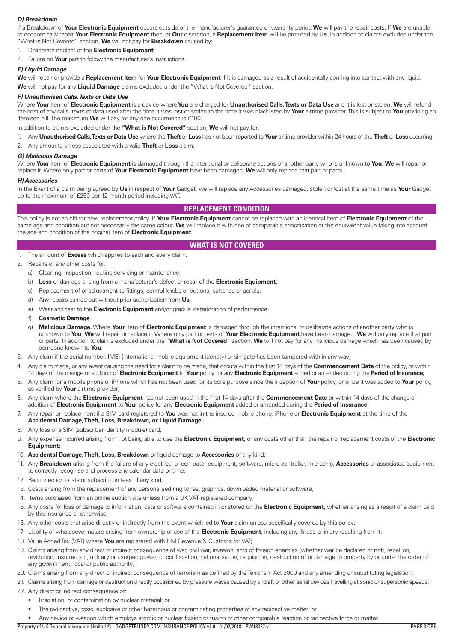## <span id="page-2-0"></span>*D) Breakdown*

If a Breakdown of **Your Electronic Equipment** occurs outside of the manufacturer's guarantee or warranty period **We** will pay the repair costs. If **We** are unable to economically repair **Your Electronic Equipment** then, at **Our** discretion, a **Replacement Item** will be provided by **Us**. In addition to claims excluded under the "What is Not Covered" section, **We** will not pay for **Breakdown** caused by:

- 1. Deliberate neglect of the **Electronic Equipment**;
- 2. Failure on **Your** part to follow the manufacturer's instructions.

## *E) Liquid Damage*

**We** will repair or provide a **Replacement Item** for **Your Electronic Equipment** if it is damaged as a result of accidentally coming into contact with any liquid.

**We** will not pay for any **Liquid Damage** claims excluded under the "What is Not Covered" section.

# *F) Unauthorised Calls, Texts or Data Use*

Where **Your** item of **Electronic Equipment** is a device where **You** are charged for **Unauthorised Calls, Texts or Data Use** and it is lost or stolen, **We** will refund the cost of any calls, texts or data used after the time it was lost or stolen to the time it was blacklisted by **Your** airtime provider. This is subject to **You** providing an itemised bill. The maximum **We** will pay for any one occurrence is £100.

In addition to claims excluded under the **"What is Not Covered"** section, **We** will not pay for:

1. Any **Unauthorised Calls, Texts or Data Use** where the **Theft** or **Loss** has not been reported to **Your** airtime provider within 24 hours of the **Theft** or **Loss** occurring;

2. Any amounts unless associated with a valid **Theft** or **Loss** claim.

#### *G) Malicious Damage*

Where **Your** item of **Electronic Equipment** is damaged through the intentional or deliberate actions of another party who is unknown to **You**, **We** will repair or replace it. Where only part or parts of **Your Electronic Equipment** have been damaged, **We** will only replace that part or parts.

#### *H) Accessories*

In the Event of a claim being agreed by **Us** in respect of **Your** Gadget, we will replace any Accessories damaged, stolen or lost at the same time as **Your** Gadget up to the maximum of £250 per 12 month period including VAT.

## **REPLACEMENT CONDITION**

This policy is not an old for new replacement policy. If **Your Electronic Equipment** cannot be replaced with an identical item of **Electronic Equipment** of the same age and condition but not necessarily the same colour, **We** will replace it with one of comparable specification or the equivalent value taking into account the age and condition of the original item of **Electronic Equipment**.

# **WHAT IS NOT COVERED**

- 1. The amount of **Excess** which applies to each and every claim.
- 2. Repairs or any other costs for:
	- a) Cleaning, inspection, routine servicing or maintenance;
	- b) **Loss** or damage arising from a manufacturer's defect or recall of the **Electronic Equipment**;
	- c) Replacement of or adjustment to fittings, control knobs or buttons, batteries or aerials;
	- d) Any repairs carried out without prior authorisation from **Us**;
	- e) Wear and tear to the **Electronic Equipment** and/or gradual deterioration of performance;
	- f) **Cosmetic Damage**.
	- g) **Malicious Damage.** Where **Your** item of **Electronic Equipment** is damaged through the intentional or deliberate actions of another party who is unknown to **You**, **We** will repair or replace it. Where only part or parts of **Your Electronic Equipment** have been damaged, **We** will only replace that part or parts. In addition to claims excluded under the "**What is Not Covered**" section, **We** will not pay for any malicious damage which has been caused by someone known to **You**.
- 3. Any claim if the serial number, IMEI (international mobile equipment identity) or simgate has been tampered with in any way;
- 4. Any claim made, or any event causing the need for a claim to be made, that occurs within the first 14 days of the **Commencement Date** of the policy, or within 14 days of the change or addition of **Electronic Equipment** to **Your** policy for any **Electronic Equipment** added or amended during the **Period of Insurance;**
- 5. Any claim for a mobile phone or iPhone which has not been used for its core purpose since the inception of **Your** policy, or since it was added to **Your** policy, as verified by **Your** airtime provider;
- 6. Any claim where the **Electronic Equipment** has not been used in the first 14 days after the **Commencement Date** or within 14 days of the change or addition of **Electronic Equipment** to **Your** policy for any **Electronic Equipment** added or amended during the **Period of Insurance**;
- 7. Any repair or replacement if a SIM card registered to **You** was not in the insured mobile phone, iPhone or **Electronic Equipment** at the time of the **Accidental Damage, Theft, Loss, Breakdown, or Liquid Damage**;
- 8. Any loss of a SIM (subscriber identity module) card;
- 9. Any expense incurred arising from not being able to use the **Electronic Equipment**, or any costs other than the repair or replacement costs of the **Electronic Equipment;**
- 10. **Accidental Damage, Theft, Loss, Breakdown** or liquid damage to **Accessories** of any kind;
- 11. Any **Breakdown** arising from the failure of any electrical or computer equipment, software, micro-controller, microchip, **Accessories** or associated equipment to correctly recognise and process any calendar date or time;
- 12. Reconnection costs or subscription fees of any kind;
- 13. Costs arising from the replacement of any personalised ring tones, graphics, downloaded material or software;
- 14. Items purchased from an online auction site unless from a UK VAT registered company;
- 15. Any costs for loss or damage to information, data or software contained in or stored on the **Electronic Equipment,** whether arising as a result of a claim paid by this insurance or otherwise;
- 16. Any other costs that arise directly or indirectly from the event which led to **Your** claim unless specifically covered by this policy;
- 17. Liability of whatsoever nature arising from ownership or use of the **Electronic Equipment**, including any illness or injury resulting from it;
- 18. Value Added Tax (VAT) where **You** are registered with HM Revenue & Customs for VAT;
- 19. Claims arising from any direct or indirect consequence of war, civil war, invasion, acts of foreign enemies (whether war be declared or not), rebellion, revolution, insurrection, military or usurped power, or confiscation, nationalisation, requisition, destruction of or damage to property by or under the order of any government, local or public authority;
- 20. Claims arising from any direct or indirect consequence of terrorism as defined by the Terrorism Act 2000 and any amending or substituting legislation;
- 21. Claims arising from damage or destruction directly occasioned by pressure waves caused by aircraft or other aerial devices travelling at sonic or supersonic speeds;
- 22. Any direct or indirect consequence of:
	- Irradiation, or contamination by nuclear material; or
	- The radioactive, toxic, explosive or other hazardous or contaminating properties of any radioactive matter; or
- Any device or weapon which employs atomic or nuclear fission or fusion or other comparable reaction or radioactive force or matter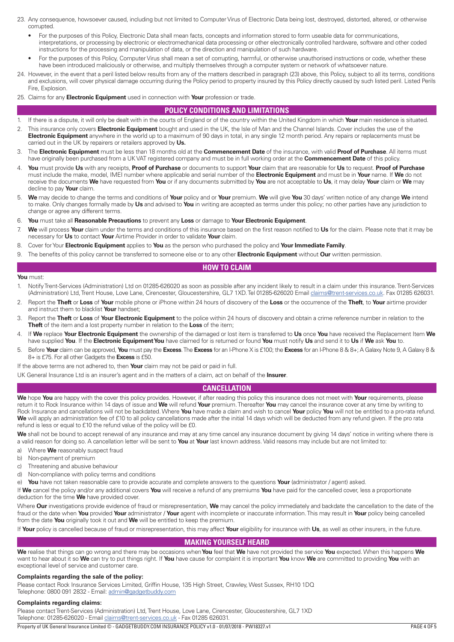- <span id="page-3-0"></span>23. Any consequence, howsoever caused, including but not limited to Computer Virus of Electronic Data being lost, destroyed, distorted, altered, or otherwise corrupted.
	- For the purposes of this Policy, Electronic Data shall mean facts, concepts and information stored to form useable data for communications, interpretations, or processing by electronic or electromechanical data processing or other electronically controlled hardware, software and other coded instructions for the processing and manipulation of data, or the direction and manipulation of such hardware.
	- For the purposes of this Policy, Computer Virus shall mean a set of corrupting, harmful, or otherwise unauthorised instructions or code, whether these have been introduced maliciously or otherwise, and multiply themselves through a computer system or network of whatsoever nature.
- 24. However, in the event that a peril listed below results from any of the matters described in paragraph (23) above, this Policy, subject to all its terms, conditions and exclusions, will cover physical damage occurring during the Policy period to property insured by this Policy directly caused by such listed peril. Listed Perils Fire, Explosion.
- 25. Claims for any **Electronic Equipment** used in connection with **Your** profession or trade.

# **POLICY CONDITIONS AND LIMITATIONS**

- 1. If there is a dispute, it will only be dealt with in the courts of England or of the country within the United Kingdom in which **Your** main residence is situated.
- 2. This insurance only covers **Electronic Equipment** bought and used in the UK, the Isle of Man and the Channel Islands. Cover includes the use of the **Electronic Equipment** anywhere in the world up to a maximum of 90 days in total, in any single 12 month period. Any repairs or replacements must be carried out in the UK by repairers or retailers approved by **Us.**
- 3. The **Electronic Equipment** must be less than 18 months old at the **Commencement Date** of the insurance, with valid **Proof of Purchase**. All items must have originally been purchased from a UK VAT registered company and must be in full working order at the **Commencement Date** of this policy.
- 4. **You** must provide **Us** with any receipts, **Proof of Purchase** or documents to support **Your** claim that are reasonable for **Us** to request. **Proof of Purchase**  must include the make, model, IMEI number where applicable and serial number of the **Electronic Equipment** and must be in **Your** name. If **We** do not receive the documents **We** have requested from **You** or if any documents submitted by **You** are not acceptable to **Us**, it may delay **Your** claim or **We** may decline to pay **Your** claim.
- 5. **We** may decide to change the terms and conditions of **Your** policy and or **Your** premium. **We** will give **You** 30 days' written notice of any change **We** intend to make. Only changes formally made by **Us** and advised to **You** in writing are accepted as terms under this policy; no other parties have any jurisdiction to change or agree any different terms.
- 6. **You** must take all **Reasonable Precautions** to prevent any **Loss** or damage to **Your Electronic Equipment**.
- 7. **We** will process **Your** claim under the terms and conditions of this insurance based on the first reason notified to **Us** for the claim. Please note that it may be necessary for **Us** to contact **Your** Airtime Provider in order to validate **Your** claim.
- 8. Cover for Your **Electronic Equipment** applies to **You** as the person who purchased the policy and **Your Immediate Family**.
- 9. The benefits of this policy cannot be transferred to someone else or to any other **Electronic Equipment** without **Our** written permission.

# **HOW TO CLAIM**

#### **You** must:

- 1. Notify Trent-Services (Administration) Ltd on 01285-626020 as soon as possible after any incident likely to result in a claim under this insurance. Trent-Services (Administration) Ltd, Trent House, Love Lane, Cirencester, Gloucestershire, GL7 1XD. Tel 01285-626020 Email [claims@trent-services.co.uk](mailto:claims@trent-services.co.uk). Fax 01285 626031.
- 2. Report the **Theft** or **Loss** of **Your** mobile phone or iPhone within 24 hours of discovery of the **Loss** or the occurrence of the **Theft**, to **Your** airtime provider and instruct them to blacklist **Your** handset;
- 3. Report the **Theft** or **Loss** of **Your Electronic Equipment** to the police within 24 hours of discovery and obtain a crime reference number in relation to the **Theft** of the item and a lost property number in relation to the Loss of the item;
- 4. If **We** replace **Your Electronic Equipment** the ownership of the damaged or lost item is transferred to **Us** once **You** have received the Replacement Item **We** have supplied **You**. If the **Electronic Equipment You** have claimed for is returned or found **You** must notify **Us** and send it to **Us** if **We** ask **You** to.
- 5. Before **Your** claim can be approved, **You** must pay the **Excess**. The **Excess** for an I-Phone X is £100; the **Excess** for an I-Phone 8 & 8+; A Galaxy Note 9, A Galaxy 8 & 8+ is £75. For all other Gadgets the **Excess** is £50.
- If the above terms are not adhered to, then **Your** claim may not be paid or paid in full.

UK General Insurance Ltd is an insurer's agent and in the matters of a claim, act on behalf of the **Insurer**.

# **CANCELLATION**

**We** hope **You** are happy with the cover this policy provides. However, if after reading this policy this insurance does not meet with **Your** requirements, please return it to Rock Insurance within 14 days of issue and **We** will refund **Your** premium. Thereafter **You** may cancel the insurance cover at any time by writing to Rock Insurance and cancellations will not be backdated. Where **You** have made a claim and wish to cancel **Your** policy **You** will not be entitled to a pro-rata refund. We will apply an administration fee of £10 to all policy cancellations made after the initial 14 days which will be deducted from any refund given. If the pro rata refund is less or equal to £10 the refund value of the policy will be £0.

We shall not be bound to accept renewal of any insurance and may at any time cancel any insurance document by giving 14 days' notice in writing where there is a valid reason for doing so. A cancellation letter will be sent to **You** at **Your** last known address. Valid reasons may include but are not limited to:

- a) Where **We** reasonably suspect fraud
- b) Non-payment of premium
- c) Threatening and abusive behaviour
- d) Non-compliance with policy terms and conditions

e) **You** have not taken reasonable care to provide accurate and complete answers to the questions **Your** (administrator / agent) asked.

If **We** cancel the policy and/or any additional covers **You** will receive a refund of any premiums **You** have paid for the cancelled cover, less a proportionate deduction for the time **We** have provided cover.

Where **Our** investigations provide evidence of fraud or misrepresentation, **We** may cancel the policy immediately and backdate the cancellation to the date of the fraud or the date when **You** provided **Your** administrator / **Your** agent with incomplete or inaccurate information. This may result in **Your** policy being cancelled from the date **You** originally took it out and **We** will be entitled to keep the premium.

If **Your** policy is cancelled because of fraud or misrepresentation, this may affect **Your** eligibility for insurance with **Us**, as well as other insurers, in the future.

## **MAKING YOURSELF HEARD**

**We** realise that things can go wrong and there may be occasions when **You** feel that **We** have not provided the service **You** expected. When this happens **We** want to hear about it so **We** can try to put things right. If **You** have cause for complaint it is important **You** know **We** are committed to providing **You** with an exceptional level of service and customer care.

#### **Complaints regarding the sale of the policy:**

Please contact Rock Insurance Services Limited, Griffin House, 135 High Street, Crawley, West Sussex, RH10 1DQ Telephone: 0800 091 2832 - Email: [admin@gadgetbuddy.com](mailto:admin@gadgetbuddy.com)

#### **Complaints regarding claims:**

Please contact Trent-Services (Administration) Ltd, Trent House, Love Lane, Cirencester, Gloucestershire, GL7 1XD Telephone: 01285-626020 - Email [claims@trent-services.co.uk](mailto:claims@trent-services.co.uk) - Fax 01285 626031.